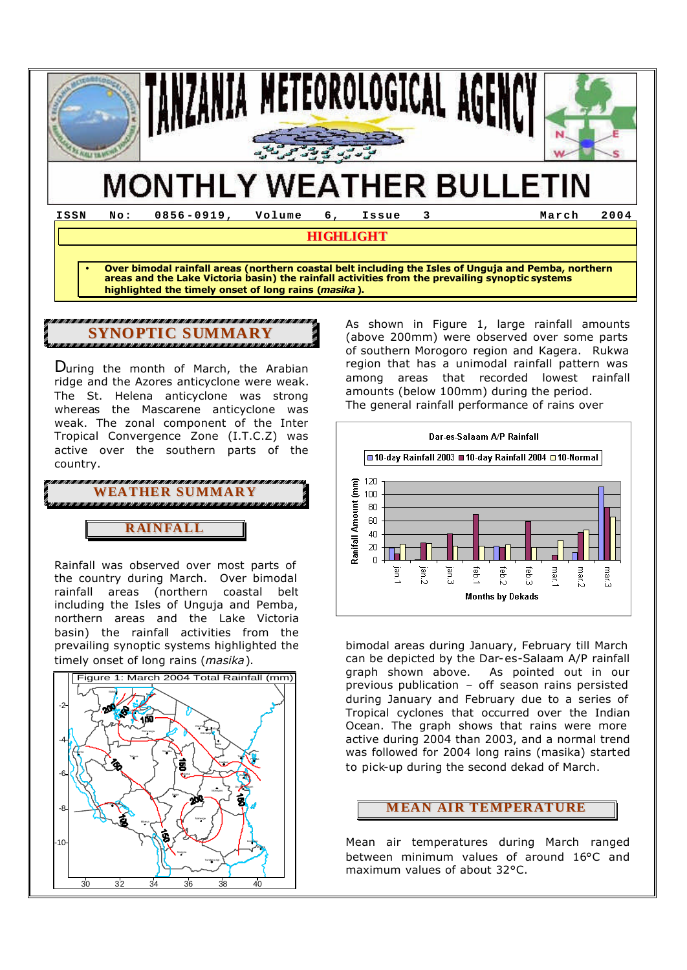

**HIGHLIGHT**

• **Over bimodal rainfall areas (northern coastal belt including the Isles of Unguja and Pemba, northern areas and the Lake Victoria basin) the rainfall activities from the prevailing synoptic systems highlighted the timely onset of long rains (***masika***).**

# **SYNOPTIC SUMMARY**

During the month of March, the Arabian ridge and the Azores anticyclone were weak. The St. Helena anticyclone was strong whereas the Mascarene anticyclone was weak. The zonal component of the Inter Tropical Convergence Zone (I.T.C.Z) was active over the southern parts of the country.

**RAINFALL WEATHER SUMMARY**

Rainfall was observed over most parts of the country during March. Over bimodal rainfall areas (northern coastal belt including the Isles of Unguja and Pemba, northern areas and the Lake Victoria basin) the rainfall activities from the prevailing synoptic systems highlighted the timely onset of long rains (*masika*).



As shown in Figure 1, large rainfall amounts (above 200mm) were observed over some parts of southern Morogoro region and Kagera. Rukwa region that has a unimodal rainfall pattern was among areas that recorded lowest rainfall amounts (below 100mm) during the period. The general rainfall performance of rains over



bimodal areas during January, February till March can be depicted by the Dar-es-Salaam A/P rainfall graph shown above. As pointed out in our previous publication – off season rains persisted during January and February due to a series of Tropical cyclones that occurred over the Indian Ocean. The graph shows that rains were more active during 2004 than 2003, and a normal trend was followed for 2004 long rains (masika) started to pick-up during the second dekad of March.

#### **MEAN AIR TEMPERATURE**

Mean air temperatures during March ranged between minimum values of around 16°C and maximum values of about 32°C.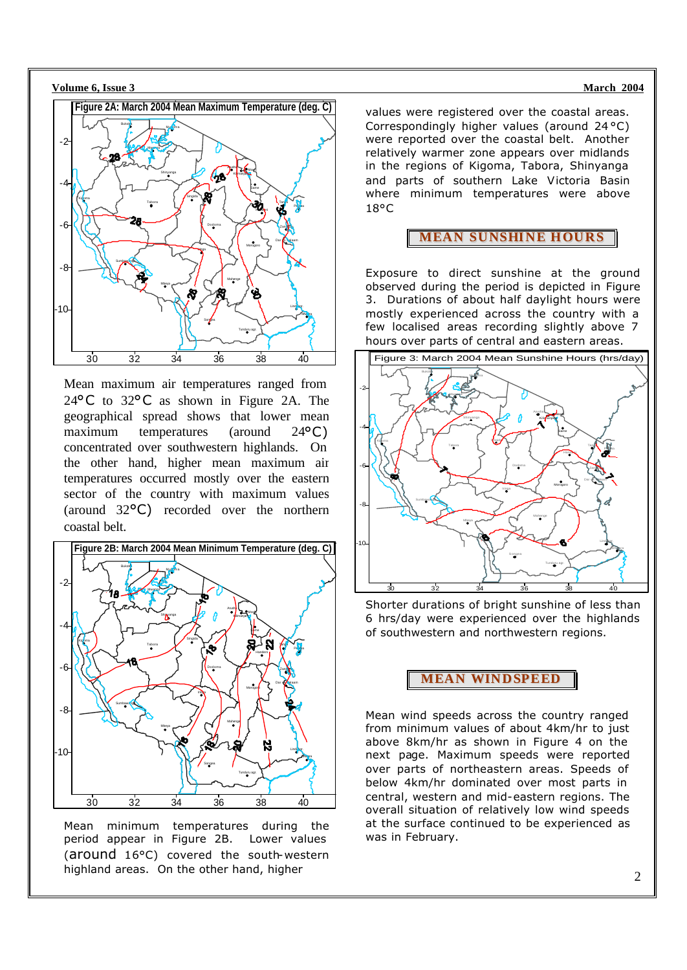



Mean maximum air temperatures ranged from 24°C to 32°C as shown in Figure 2A. The geographical spread shows that lower mean maximum temperatures (around 24<sup>o</sup>C) concentrated over southwestern highlands. On the other hand, higher mean maximum air temperatures occurred mostly over the eastern sector of the country with maximum values (around 32°C) recorded over the northern coastal belt.



Mean minimum temperatures during the period appear in Figure 2B. Lower values (around 16°C) covered the south-western highland areas. On the other hand, higher

values were registered over the coastal areas. Correspondingly higher values (around 24 °C) were reported over the coastal belt. Another relatively warmer zone appears over midlands in the regions of Kigoma, Tabora, Shinyanga and parts of southern Lake Victoria Basin where minimum temperatures were above 18°C

#### **MEAN SUNSHINE HOURS**

Exposure to direct sunshine at the ground observed during the period is depicted in Figure 3. Durations of about half daylight hours were mostly experienced across the country with a few localised areas recording slightly above 7 hours over parts of central and eastern areas.



Shorter durations of bright sunshine of less than 6 hrs/day were experienced over the highlands of southwestern and northwestern regions.

#### **MEAN WINDSPEED**

Mean wind speeds across the country ranged from minimum values of about 4km/hr to just above 8km/hr as shown in Figure 4 on the next page. Maximum speeds were reported over parts of northeastern areas. Speeds of below 4km/hr dominated over most parts in central, western and mid-eastern regions. The overall situation of relatively low wind speeds at the surface continued to be experienced as was in February.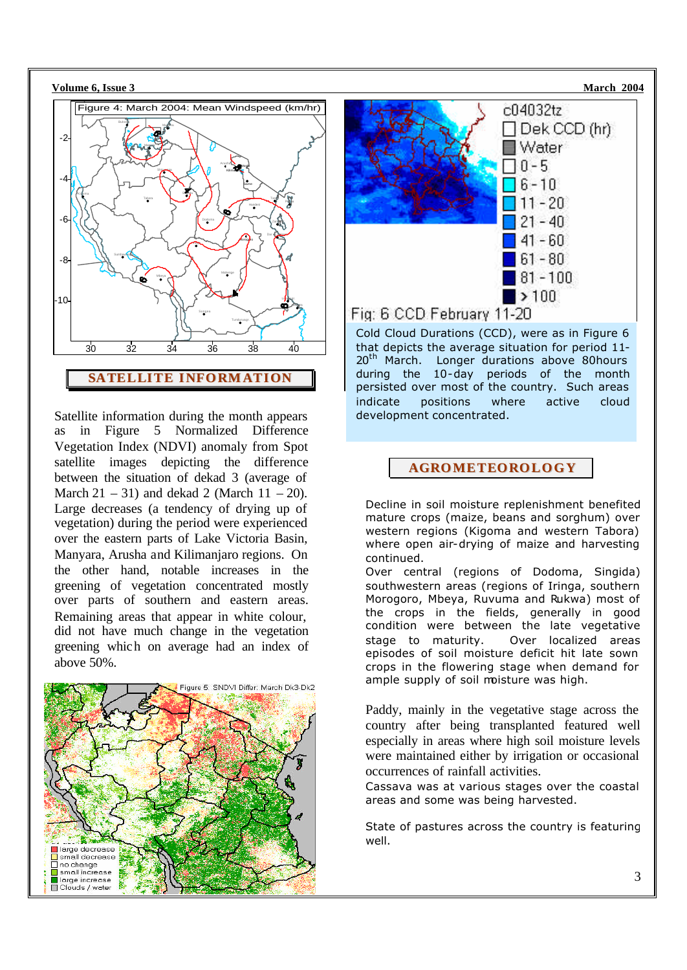

Satellite information during the month appears as in Figure 5 Normalized Difference Vegetation Index (NDVI) anomaly from Spot satellite images depicting the difference between the situation of dekad 3 (average of March  $21 - 31$ ) and dekad 2 (March  $11 - 20$ ). Large decreases (a tendency of drying up of vegetation) during the period were experienced over the eastern parts of Lake Victoria Basin, Manyara, Arusha and Kilimanjaro regions. On the other hand, notable increases in the greening of vegetation concentrated mostly over parts of southern and eastern areas. Remaining areas that appear in white colour, did not have much change in the vegetation greening which on average had an index of above 50%.





Cold Cloud Durations (CCD), were as in Figure 6 that depicts the average situation for period 11- 20<sup>th</sup> March. Longer durations above 80hours during the 10-day periods of the month persisted over most of the country. Such areas indicate positions where active cloud development concentrated.

### **AGROMETEOROLOGY**

Decline in soil moisture replenishment benefited mature crops (maize, beans and sorghum) over western regions (Kigoma and western Tabora) where open air-drying of maize and harvesting continued.

Over central (regions of Dodoma, Singida) southwestern areas (regions of Iringa, southern Morogoro, Mbeya, Ruvuma and Rukwa) most of the crops in the fields, generally in good condition were between the late vegetative stage to maturity. Over localized areas episodes of soil moisture deficit hit late sown crops in the flowering stage when demand for ample supply of soil moisture was high.

Paddy, mainly in the vegetative stage across the country after being transplanted featured well especially in areas where high soil moisture levels were maintained either by irrigation or occasional occurrences of rainfall activities.

Cassava was at various stages over the coastal areas and some was being harvested.

State of pastures across the country is featuring well.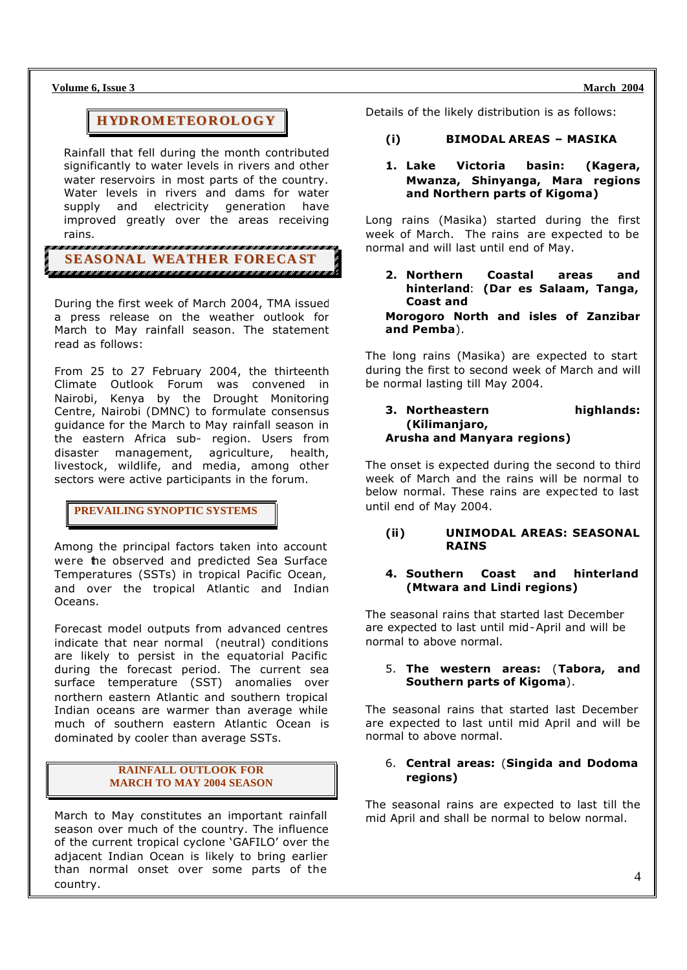**Volume 6, Issue 3 March 2004 March 2004** 

## **HYDROMETEOROLOGY**

Rainfall that fell during the month contributed significantly to water levels in rivers and other water reservoirs in most parts of the country. Water levels in rivers and dams for water supply and electricity generation have improved greatly over the areas receiving rains.

.<br>In distinguis distinguis distinguis distinguis distinguis distinguis distinguis distinguis distinguis distingu **SEASONAL WEATHER FORECA ST**

During the first week of March 2004, TMA issued a press release on the weather outlook for March to May rainfall season. The statement read as follows:

From 25 to 27 February 2004, the thirteenth Climate Outlook Forum was convened in Nairobi, Kenya by the Drought Monitoring Centre, Nairobi (DMNC) to formulate consensus guidance for the March to May rainfall season in the eastern Africa sub- region. Users from disaster management, agriculture, health, livestock, wildlife, and media, among other sectors were active participants in the forum.

#### **PREVAILING SYNOPTIC SYSTEMS**

Among the principal factors taken into account were the observed and predicted Sea Surface Temperatures (SSTs) in tropical Pacific Ocean, and over the tropical Atlantic and Indian Oceans.

Forecast model outputs from advanced centres indicate that near normal (neutral) conditions are likely to persist in the equatorial Pacific during the forecast period. The current sea surface temperature (SST) anomalies over northern eastern Atlantic and southern tropical Indian oceans are warmer than average while much of southern eastern Atlantic Ocean is dominated by cooler than average SSTs.

#### **RAINFALL OUTLOOK FOR MARCH TO MAY 2004 SEASON**

March to May constitutes an important rainfall season over much of the country. The influence of the current tropical cyclone 'GAFILO' over the adjacent Indian Ocean is likely to bring earlier than normal onset over some parts of the country.

Details of the likely distribution is as follows:

#### **(i) BIMODAL AREAS – MASIKA**

#### **1. Lake Victoria basin: (Kagera, Mwanza, Shinyanga, Mara regions and Northern parts of Kigoma)**

Long rains (Masika) started during the first week of March. The rains are expected to be normal and will last until end of May.

**2. Northern Coastal areas and hinterland**: **(Dar es Salaam, Tanga, Coast and** 

**Morogoro North and isles of Zanzibar and Pemba**).

The long rains (Masika) are expected to start during the first to second week of March and will be normal lasting till May 2004.

**3. Northeastern highlands: (Kilimanjaro, Arusha and Manyara regions)**

The onset is expected during the second to third week of March and the rains will be normal to below normal. These rains are expec ted to last until end of May 2004.

#### **(ii) UNIMODAL AREAS: SEASONAL RAINS**

#### **4. Southern Coast and hinterland (Mtwara and Lindi regions)**

The seasonal rains that started last December are expected to last until mid-April and will be normal to above normal.

#### 5. **The western areas:** (**Tabora, and Southern parts of Kigoma**).

The seasonal rains that started last December are expected to last until mid April and will be normal to above normal.

#### 6. **Central areas:** (**Singida and Dodoma regions)**

The seasonal rains are expected to last till the mid April and shall be normal to below normal.